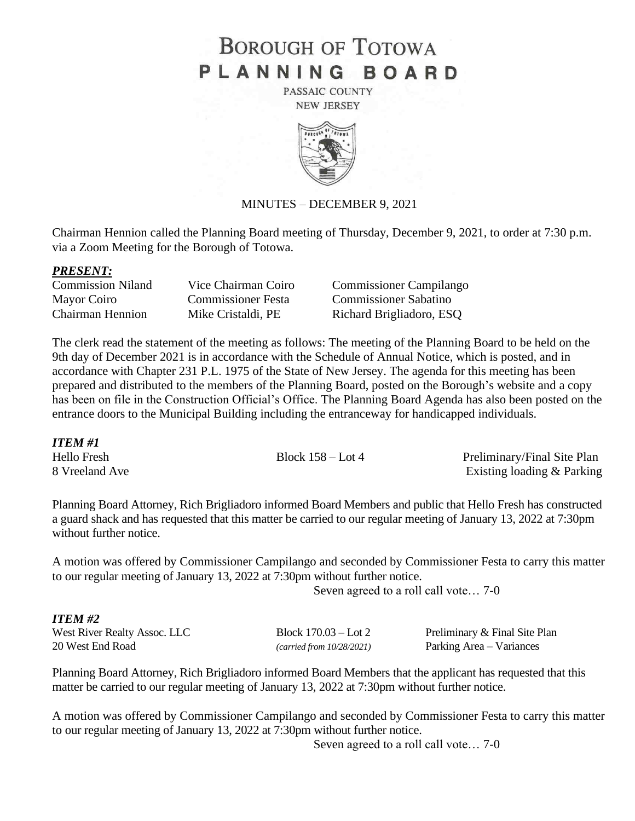# **BOROUGH OF TOTOWA** PLANNING BOARD

PASSAIC COUNTY **NEW JERSEY** 



#### MINUTES – DECEMBER 9, 2021

Chairman Hennion called the Planning Board meeting of Thursday, December 9, 2021, to order at 7:30 p.m. via a Zoom Meeting for the Borough of Totowa.

#### *PRESENT:*

| <b>Commission Niland</b> | Vice Chairman Coiro       |
|--------------------------|---------------------------|
| Mayor Coiro              | <b>Commissioner Festa</b> |
| <b>Chairman Hennion</b>  | Mike Cristaldi, PE        |

Commissioner Campilango Commissioner Sabatino Richard Brigliadoro, ESQ

The clerk read the statement of the meeting as follows: The meeting of the Planning Board to be held on the 9th day of December 2021 is in accordance with the Schedule of Annual Notice, which is posted, and in accordance with Chapter 231 P.L. 1975 of the State of New Jersey. The agenda for this meeting has been prepared and distributed to the members of the Planning Board, posted on the Borough's website and a copy has been on file in the Construction Official's Office. The Planning Board Agenda has also been posted on the entrance doors to the Municipal Building including the entranceway for handicapped individuals.

*ITEM #1*

Hello Fresh Block 158 – Lot 4 Preliminary/Final Site Plan 8 Vreeland Ave Existing loading & Parking

Planning Board Attorney, Rich Brigliadoro informed Board Members and public that Hello Fresh has constructed a guard shack and has requested that this matter be carried to our regular meeting of January 13, 2022 at 7:30pm without further notice.

A motion was offered by Commissioner Campilango and seconded by Commissioner Festa to carry this matter to our regular meeting of January 13, 2022 at 7:30pm without further notice.

Seven agreed to a roll call vote… 7-0

#### *ITEM #2*

| West River Realty Assoc. LLC |  |
|------------------------------|--|
| 20 West End Road             |  |

Block  $170.03 -$  Lot 2 Preliminary & Final Site Plan (*carried from 10/28/2021*) Parking Area – Variances

Planning Board Attorney, Rich Brigliadoro informed Board Members that the applicant has requested that this matter be carried to our regular meeting of January 13, 2022 at 7:30pm without further notice.

A motion was offered by Commissioner Campilango and seconded by Commissioner Festa to carry this matter to our regular meeting of January 13, 2022 at 7:30pm without further notice.

Seven agreed to a roll call vote… 7-0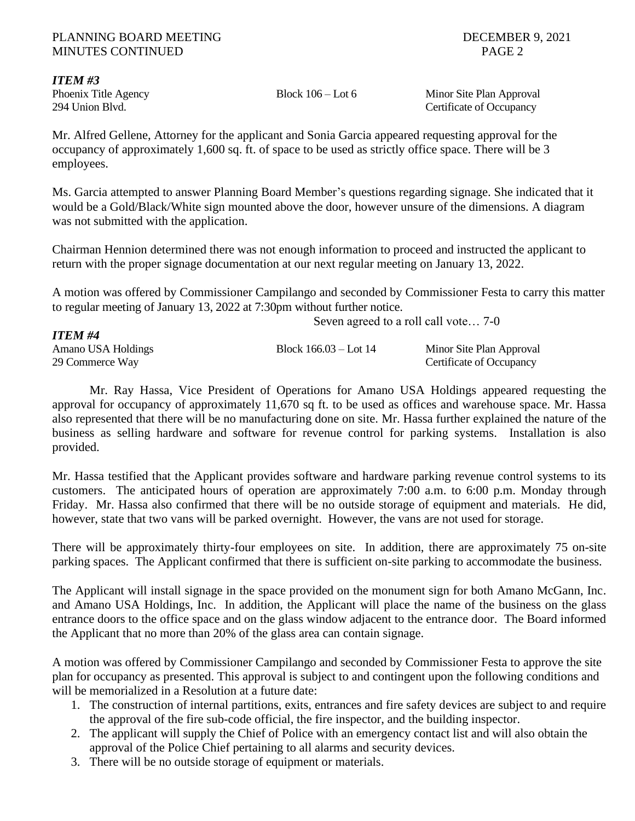# *ITEM #3*

Phoenix Title Agency Block 106 – Lot 6 Minor Site Plan Approval 294 Union Blvd. Certificate of Occupancy

Mr. Alfred Gellene, Attorney for the applicant and Sonia Garcia appeared requesting approval for the occupancy of approximately 1,600 sq. ft. of space to be used as strictly office space. There will be 3 employees.

Ms. Garcia attempted to answer Planning Board Member's questions regarding signage. She indicated that it would be a Gold/Black/White sign mounted above the door, however unsure of the dimensions. A diagram was not submitted with the application.

Chairman Hennion determined there was not enough information to proceed and instructed the applicant to return with the proper signage documentation at our next regular meeting on January 13, 2022.

A motion was offered by Commissioner Campilango and seconded by Commissioner Festa to carry this matter to regular meeting of January 13, 2022 at 7:30pm without further notice.

|                    | Seven agreed to a roll call vote 7-0 |                          |  |
|--------------------|--------------------------------------|--------------------------|--|
| <b>ITEM #4</b>     |                                      |                          |  |
| Amano USA Holdings | Block $166.03 -$ Lot $14$            | Minor Site Plan Approval |  |
| 29 Commerce Way    |                                      | Certificate of Occupancy |  |

Mr. Ray Hassa, Vice President of Operations for Amano USA Holdings appeared requesting the approval for occupancy of approximately 11,670 sq ft. to be used as offices and warehouse space. Mr. Hassa also represented that there will be no manufacturing done on site. Mr. Hassa further explained the nature of the business as selling hardware and software for revenue control for parking systems. Installation is also provided.

Mr. Hassa testified that the Applicant provides software and hardware parking revenue control systems to its customers. The anticipated hours of operation are approximately 7:00 a.m. to 6:00 p.m. Monday through Friday. Mr. Hassa also confirmed that there will be no outside storage of equipment and materials. He did, however, state that two vans will be parked overnight. However, the vans are not used for storage.

There will be approximately thirty-four employees on site. In addition, there are approximately 75 on-site parking spaces. The Applicant confirmed that there is sufficient on-site parking to accommodate the business.

The Applicant will install signage in the space provided on the monument sign for both Amano McGann, Inc. and Amano USA Holdings, Inc. In addition, the Applicant will place the name of the business on the glass entrance doors to the office space and on the glass window adjacent to the entrance door. The Board informed the Applicant that no more than 20% of the glass area can contain signage.

A motion was offered by Commissioner Campilango and seconded by Commissioner Festa to approve the site plan for occupancy as presented. This approval is subject to and contingent upon the following conditions and will be memorialized in a Resolution at a future date:

- 1. The construction of internal partitions, exits, entrances and fire safety devices are subject to and require the approval of the fire sub-code official, the fire inspector, and the building inspector.
- 2. The applicant will supply the Chief of Police with an emergency contact list and will also obtain the approval of the Police Chief pertaining to all alarms and security devices.
- 3. There will be no outside storage of equipment or materials.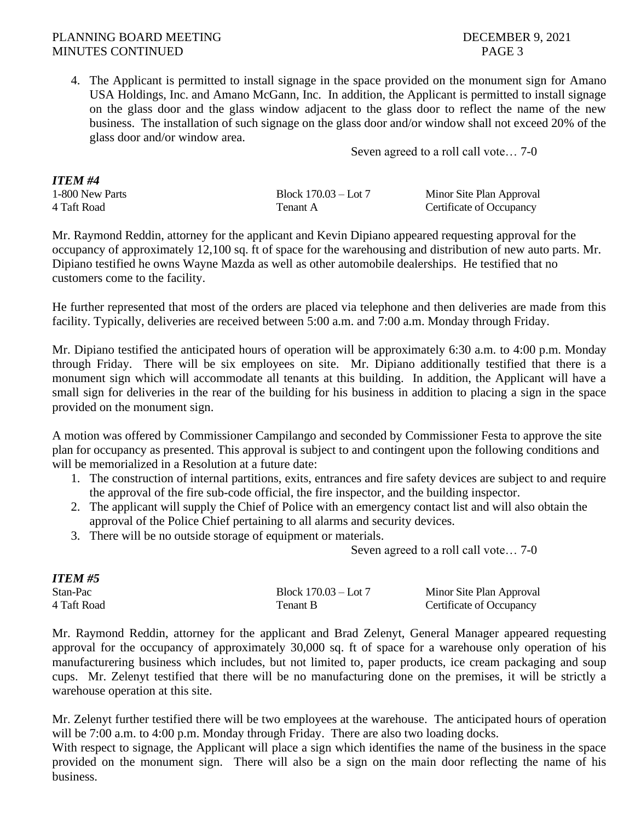4. The Applicant is permitted to install signage in the space provided on the monument sign for Amano USA Holdings, Inc. and Amano McGann, Inc. In addition, the Applicant is permitted to install signage on the glass door and the glass window adjacent to the glass door to reflect the name of the new business. The installation of such signage on the glass door and/or window shall not exceed 20% of the glass door and/or window area.

Seven agreed to a roll call vote… 7-0

| ITEM #4         |                      |                          |
|-----------------|----------------------|--------------------------|
| 1-800 New Parts | Block 170.03 – Lot 7 | Minor Site Plan Approval |
| 4 Taft Road     | Tenant A             | Certificate of Occupancy |

Mr. Raymond Reddin, attorney for the applicant and Kevin Dipiano appeared requesting approval for the occupancy of approximately 12,100 sq. ft of space for the warehousing and distribution of new auto parts. Mr. Dipiano testified he owns Wayne Mazda as well as other automobile dealerships. He testified that no customers come to the facility.

He further represented that most of the orders are placed via telephone and then deliveries are made from this facility. Typically, deliveries are received between 5:00 a.m. and 7:00 a.m. Monday through Friday.

Mr. Dipiano testified the anticipated hours of operation will be approximately 6:30 a.m. to 4:00 p.m. Monday through Friday. There will be six employees on site. Mr. Dipiano additionally testified that there is a monument sign which will accommodate all tenants at this building. In addition, the Applicant will have a small sign for deliveries in the rear of the building for his business in addition to placing a sign in the space provided on the monument sign.

A motion was offered by Commissioner Campilango and seconded by Commissioner Festa to approve the site plan for occupancy as presented. This approval is subject to and contingent upon the following conditions and will be memorialized in a Resolution at a future date:

- 1. The construction of internal partitions, exits, entrances and fire safety devices are subject to and require the approval of the fire sub-code official, the fire inspector, and the building inspector.
- 2. The applicant will supply the Chief of Police with an emergency contact list and will also obtain the approval of the Police Chief pertaining to all alarms and security devices.
- 3. There will be no outside storage of equipment or materials.

Seven agreed to a roll call vote… 7-0

| ITEM #5     |                        |                          |
|-------------|------------------------|--------------------------|
| Stan-Pac    | Block $170.03 -$ Lot 7 | Minor Site Plan Approval |
| 4 Taft Road | Tenant B               | Certificate of Occupancy |

Mr. Raymond Reddin, attorney for the applicant and Brad Zelenyt, General Manager appeared requesting approval for the occupancy of approximately 30,000 sq. ft of space for a warehouse only operation of his manufacturering business which includes, but not limited to, paper products, ice cream packaging and soup cups. Mr. Zelenyt testified that there will be no manufacturing done on the premises, it will be strictly a warehouse operation at this site.

Mr. Zelenyt further testified there will be two employees at the warehouse. The anticipated hours of operation will be 7:00 a.m. to 4:00 p.m. Monday through Friday. There are also two loading docks.

With respect to signage, the Applicant will place a sign which identifies the name of the business in the space provided on the monument sign. There will also be a sign on the main door reflecting the name of his business.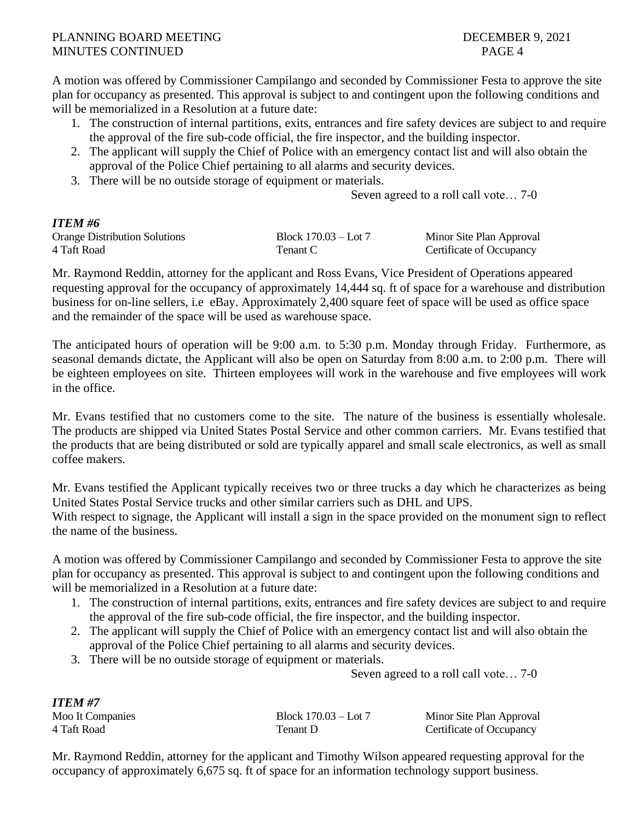A motion was offered by Commissioner Campilango and seconded by Commissioner Festa to approve the site plan for occupancy as presented. This approval is subject to and contingent upon the following conditions and will be memorialized in a Resolution at a future date:

- 1. The construction of internal partitions, exits, entrances and fire safety devices are subject to and require the approval of the fire sub-code official, the fire inspector, and the building inspector.
- 2. The applicant will supply the Chief of Police with an emergency contact list and will also obtain the approval of the Police Chief pertaining to all alarms and security devices.
- 3. There will be no outside storage of equipment or materials.

Seven agreed to a roll call vote… 7-0

# *ITEM #6*

*ITEM #7*

| -------                              |                      |                          |
|--------------------------------------|----------------------|--------------------------|
| <b>Orange Distribution Solutions</b> | Block 170.03 – Lot 7 | Minor Site Plan Approval |
| 4 Taft Road                          | Tenant C             | Certificate of Occupancy |

Mr. Raymond Reddin, attorney for the applicant and Ross Evans, Vice President of Operations appeared requesting approval for the occupancy of approximately 14,444 sq. ft of space for a warehouse and distribution business for on-line sellers, i.e eBay. Approximately 2,400 square feet of space will be used as office space and the remainder of the space will be used as warehouse space.

The anticipated hours of operation will be 9:00 a.m. to 5:30 p.m. Monday through Friday. Furthermore, as seasonal demands dictate, the Applicant will also be open on Saturday from 8:00 a.m. to 2:00 p.m. There will be eighteen employees on site. Thirteen employees will work in the warehouse and five employees will work in the office.

Mr. Evans testified that no customers come to the site. The nature of the business is essentially wholesale. The products are shipped via United States Postal Service and other common carriers. Mr. Evans testified that the products that are being distributed or sold are typically apparel and small scale electronics, as well as small coffee makers.

Mr. Evans testified the Applicant typically receives two or three trucks a day which he characterizes as being United States Postal Service trucks and other similar carriers such as DHL and UPS.

With respect to signage, the Applicant will install a sign in the space provided on the monument sign to reflect the name of the business.

A motion was offered by Commissioner Campilango and seconded by Commissioner Festa to approve the site plan for occupancy as presented. This approval is subject to and contingent upon the following conditions and will be memorialized in a Resolution at a future date:

- 1. The construction of internal partitions, exits, entrances and fire safety devices are subject to and require the approval of the fire sub-code official, the fire inspector, and the building inspector.
- 2. The applicant will supply the Chief of Police with an emergency contact list and will also obtain the approval of the Police Chief pertaining to all alarms and security devices.
- 3. There will be no outside storage of equipment or materials.

Seven agreed to a roll call vote… 7-0

| 11 LAN 11 1      |                        |                          |
|------------------|------------------------|--------------------------|
| Moo It Companies | Block $170.03 -$ Lot 7 | Minor Site Plan Approval |
| 4 Taft Road      | Tenant D               | Certificate of Occupancy |

Mr. Raymond Reddin, attorney for the applicant and Timothy Wilson appeared requesting approval for the occupancy of approximately 6,675 sq. ft of space for an information technology support business.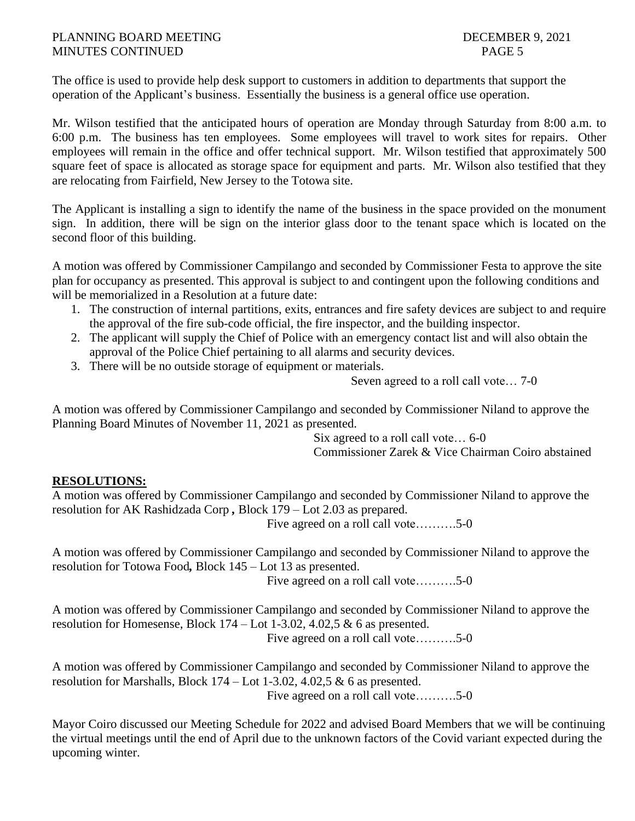The office is used to provide help desk support to customers in addition to departments that support the operation of the Applicant's business. Essentially the business is a general office use operation.

Mr. Wilson testified that the anticipated hours of operation are Monday through Saturday from 8:00 a.m. to 6:00 p.m. The business has ten employees. Some employees will travel to work sites for repairs. Other employees will remain in the office and offer technical support. Mr. Wilson testified that approximately 500 square feet of space is allocated as storage space for equipment and parts. Mr. Wilson also testified that they are relocating from Fairfield, New Jersey to the Totowa site.

The Applicant is installing a sign to identify the name of the business in the space provided on the monument sign. In addition, there will be sign on the interior glass door to the tenant space which is located on the second floor of this building.

A motion was offered by Commissioner Campilango and seconded by Commissioner Festa to approve the site plan for occupancy as presented. This approval is subject to and contingent upon the following conditions and will be memorialized in a Resolution at a future date:

- 1. The construction of internal partitions, exits, entrances and fire safety devices are subject to and require the approval of the fire sub-code official, the fire inspector, and the building inspector.
- 2. The applicant will supply the Chief of Police with an emergency contact list and will also obtain the approval of the Police Chief pertaining to all alarms and security devices.
- 3. There will be no outside storage of equipment or materials.

Seven agreed to a roll call vote… 7-0

A motion was offered by Commissioner Campilango and seconded by Commissioner Niland to approve the Planning Board Minutes of November 11, 2021 as presented.

> Six agreed to a roll call vote… 6-0 Commissioner Zarek & Vice Chairman Coiro abstained

# **RESOLUTIONS:**

A motion was offered by Commissioner Campilango and seconded by Commissioner Niland to approve the resolution for AK Rashidzada Corp *,* Block 179 – Lot 2.03 as prepared.

Five agreed on a roll call vote……….5-0

A motion was offered by Commissioner Campilango and seconded by Commissioner Niland to approve the resolution for Totowa Food*,* Block 145 – Lot 13 as presented.

Five agreed on a roll call vote……….5-0

A motion was offered by Commissioner Campilango and seconded by Commissioner Niland to approve the resolution for Homesense, Block  $174 -$ Lot  $1-3.02$ ,  $4.02,5 \& 6$  as presented. Five agreed on a roll call vote……….5-0

A motion was offered by Commissioner Campilango and seconded by Commissioner Niland to approve the resolution for Marshalls, Block  $174 -$ Lot  $1-3.02$ ,  $4.02.5 \& 6$  as presented. Five agreed on a roll call vote……….5-0

Mayor Coiro discussed our Meeting Schedule for 2022 and advised Board Members that we will be continuing the virtual meetings until the end of April due to the unknown factors of the Covid variant expected during the upcoming winter.